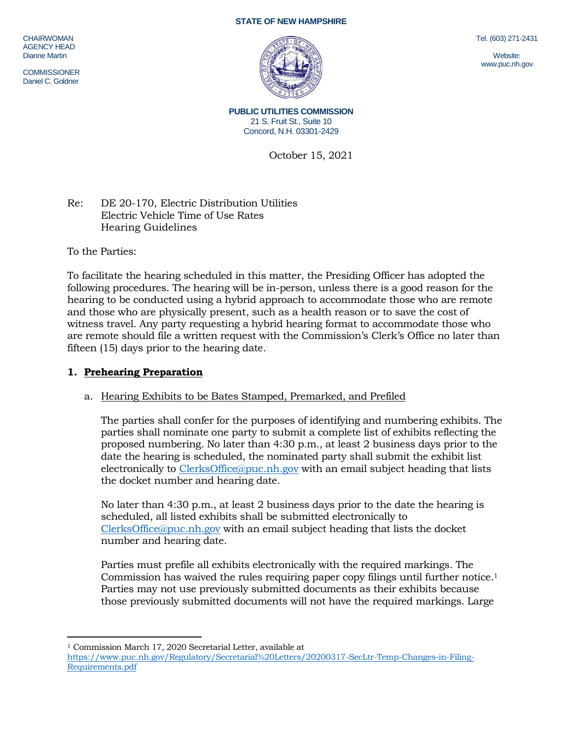#### **STATE OF NEW HAMPSHIRE**

**CHAIRWOMAN** AGENCY HEAD Dianne Martin

**COMMISSIONER** Daniel C. Goldner

Tel. (603) 271-2431

Website: www.puc.nh.gov

**PUBLIC UTILITIES COMMISSION** 21 S. Fruit St., Suite 10 Concord, N.H. 03301-2429

October 15, 2021

## Re: DE 20-170, Electric Distribution Utilities Electric Vehicle Time of Use Rates Hearing Guidelines

To the Parties:

To facilitate the hearing scheduled in this matter, the Presiding Officer has adopted the following procedures. The hearing will be in-person, unless there is a good reason for the hearing to be conducted using a hybrid approach to accommodate those who are remote and those who are physically present, such as a health reason or to save the cost of witness travel. Any party requesting a hybrid hearing format to accommodate those who are remote should file a written request with the Commission's Clerk's Office no later than fifteen (15) days prior to the hearing date.

### **1. Prehearing Preparation**

### a. Hearing Exhibits to be Bates Stamped, Premarked, and Prefiled

The parties shall confer for the purposes of identifying and numbering exhibits. The parties shall nominate one party to submit a complete list of exhibits reflecting the proposed numbering. No later than 4:30 p.m., at least 2 business days prior to the date the hearing is scheduled, the nominated party shall submit the exhibit list electronically to [ClerksOffice@puc.nh.gov](mailto:ClerksOffice@puc.nh.gov) with an email subject heading that lists the docket number and hearing date.

No later than 4:30 p.m., at least 2 business days prior to the date the hearing is scheduled, all listed exhibits shall be submitted electronically to [ClerksOffice@puc.nh.gov](mailto:Clerks.Office@puc.nh.gov) with an email subject heading that lists the docket number and hearing date.

Parties must prefile all exhibits electronically with the required markings. The Commission has waived the rules requiring paper copy filings until further notice. 1 Parties may not use previously submitted documents as their exhibits because those previously submitted documents will not have the required markings. Large

 $\overline{a}$ <sup>1</sup> Commission March 17, 2020 Secretarial Letter, available at

[https://www.puc.nh.gov/Regulatory/Secretarial%20Letters/20200317-SecLtr-Temp-Changes-in-Filing-](https://www.puc.nh.gov/Regulatory/Secretarial%20Letters/20200317-SecLtr-Temp-Changes-in-Filing-Requirements.pdf)[Requirements.pdf](https://www.puc.nh.gov/Regulatory/Secretarial%20Letters/20200317-SecLtr-Temp-Changes-in-Filing-Requirements.pdf)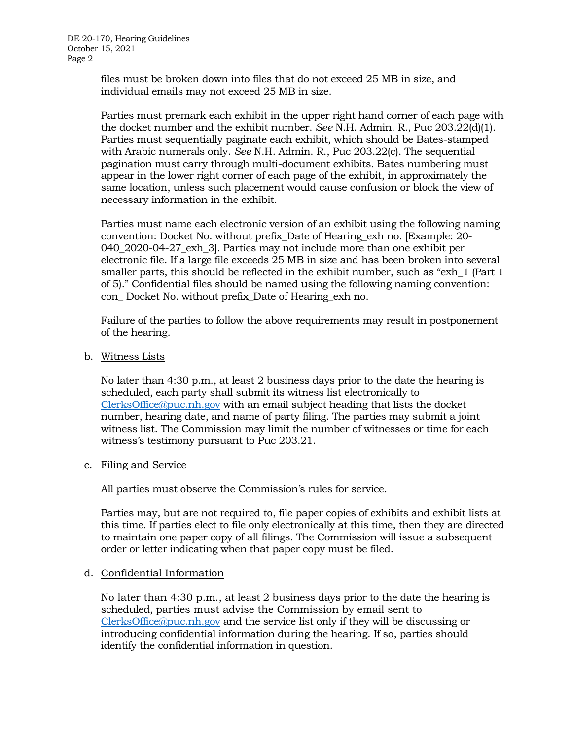files must be broken down into files that do not exceed 25 MB in size, and individual emails may not exceed 25 MB in size.

Parties must premark each exhibit in the upper right hand corner of each page with the docket number and the exhibit number. *See* N.H. Admin. R., Puc 203.22(d)(1). Parties must sequentially paginate each exhibit, which should be Bates-stamped with Arabic numerals only. *See* N.H. Admin. R., Puc 203.22(c). The sequential pagination must carry through multi-document exhibits. Bates numbering must appear in the lower right corner of each page of the exhibit, in approximately the same location, unless such placement would cause confusion or block the view of necessary information in the exhibit.

Parties must name each electronic version of an exhibit using the following naming convention: Docket No. without prefix\_Date of Hearing\_exh no. [Example: 20- 040\_2020-04-27\_exh\_3]. Parties may not include more than one exhibit per electronic file. If a large file exceeds 25 MB in size and has been broken into several smaller parts, this should be reflected in the exhibit number, such as "exh\_1 (Part 1 of 5)." Confidential files should be named using the following naming convention: con\_ Docket No. without prefix\_Date of Hearing\_exh no.

Failure of the parties to follow the above requirements may result in postponement of the hearing.

b. Witness Lists

No later than 4:30 p.m., at least 2 business days prior to the date the hearing is scheduled, each party shall submit its witness list electronically to [ClerksOffice@puc.nh.gov](mailto:Clerks.Office@puc.nh.gov) with an email subject heading that lists the docket number, hearing date, and name of party filing. The parties may submit a joint witness list. The Commission may limit the number of witnesses or time for each witness's testimony pursuant to Puc 203.21.

c. Filing and Service

All parties must observe the Commission's rules for service.

Parties may, but are not required to, file paper copies of exhibits and exhibit lists at this time. If parties elect to file only electronically at this time, then they are directed to maintain one paper copy of all filings. The Commission will issue a subsequent order or letter indicating when that paper copy must be filed.

### d. Confidential Information

No later than 4:30 p.m., at least 2 business days prior to the date the hearing is scheduled, parties must advise the Commission by email sent to [ClerksOffice@puc.nh.gov](mailto:Clerks.Office@puc.nh.gov) and the service list only if they will be discussing or introducing confidential information during the hearing. If so, parties should identify the confidential information in question.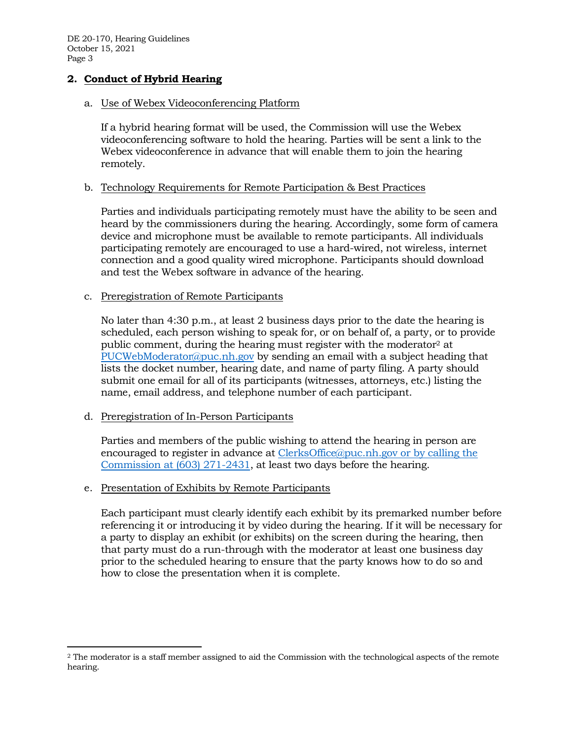DE 20-170, Hearing Guidelines October 15, 2021 Page 3

# **2. Conduct of Hybrid Hearing**

#### a. Use of Webex Videoconferencing Platform

If a hybrid hearing format will be used, the Commission will use the Webex videoconferencing software to hold the hearing. Parties will be sent a link to the Webex videoconference in advance that will enable them to join the hearing remotely.

### b. Technology Requirements for Remote Participation & Best Practices

Parties and individuals participating remotely must have the ability to be seen and heard by the commissioners during the hearing. Accordingly, some form of camera device and microphone must be available to remote participants. All individuals participating remotely are encouraged to use a hard-wired, not wireless, internet connection and a good quality wired microphone. Participants should download and test the Webex software in advance of the hearing.

#### c. Preregistration of Remote Participants

No later than 4:30 p.m., at least 2 business days prior to the date the hearing is scheduled, each person wishing to speak for, or on behalf of, a party, or to provide public comment, during the hearing must register with the moderator<sup>2</sup> at [PUCWebModerator@puc.nh.gov](mailto:PUCWebModerator@puc.nh.gov) by sending an email with a subject heading that lists the docket number, hearing date, and name of party filing. A party should submit one email for all of its participants (witnesses, attorneys, etc.) listing the name, email address, and telephone number of each participant.

### d. Preregistration of In-Person Participants

 $\overline{a}$ 

Parties and members of the public wishing to attend the hearing in person are encouraged to register in advance at [ClerksOffice@puc.nh.gov](mailto:Clerks.Office@puc.nh.gov) or by calling the Commission at (603) 271-2431, at least two days before the hearing.

### e. Presentation of Exhibits by Remote Participants

Each participant must clearly identify each exhibit by its premarked number before referencing it or introducing it by video during the hearing. If it will be necessary for a party to display an exhibit (or exhibits) on the screen during the hearing, then that party must do a run-through with the moderator at least one business day prior to the scheduled hearing to ensure that the party knows how to do so and how to close the presentation when it is complete.

<sup>2</sup> The moderator is a staff member assigned to aid the Commission with the technological aspects of the remote hearing.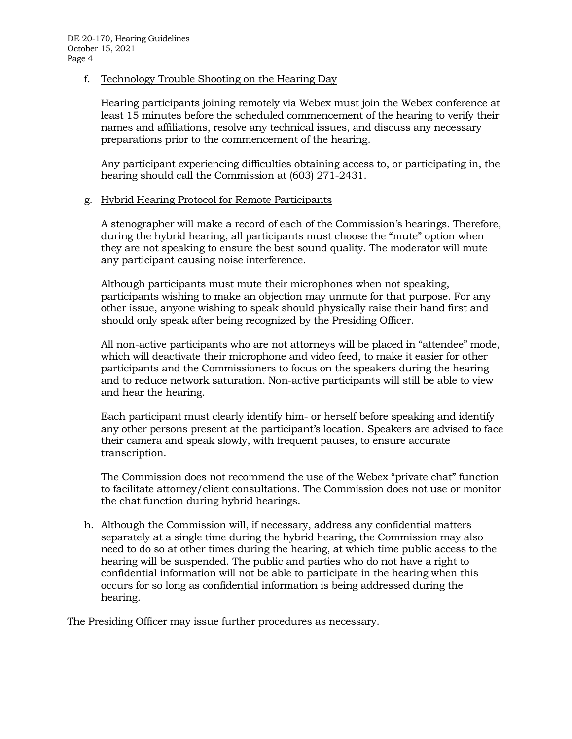# f. Technology Trouble Shooting on the Hearing Day

Hearing participants joining remotely via Webex must join the Webex conference at least 15 minutes before the scheduled commencement of the hearing to verify their names and affiliations, resolve any technical issues, and discuss any necessary preparations prior to the commencement of the hearing.

Any participant experiencing difficulties obtaining access to, or participating in, the hearing should call the Commission at (603) 271-2431.

# g. Hybrid Hearing Protocol for Remote Participants

A stenographer will make a record of each of the Commission's hearings. Therefore, during the hybrid hearing, all participants must choose the "mute" option when they are not speaking to ensure the best sound quality. The moderator will mute any participant causing noise interference.

Although participants must mute their microphones when not speaking, participants wishing to make an objection may unmute for that purpose. For any other issue, anyone wishing to speak should physically raise their hand first and should only speak after being recognized by the Presiding Officer.

All non-active participants who are not attorneys will be placed in "attendee" mode, which will deactivate their microphone and video feed, to make it easier for other participants and the Commissioners to focus on the speakers during the hearing and to reduce network saturation. Non-active participants will still be able to view and hear the hearing.

Each participant must clearly identify him- or herself before speaking and identify any other persons present at the participant's location. Speakers are advised to face their camera and speak slowly, with frequent pauses, to ensure accurate transcription.

The Commission does not recommend the use of the Webex "private chat" function to facilitate attorney/client consultations. The Commission does not use or monitor the chat function during hybrid hearings.

h. Although the Commission will, if necessary, address any confidential matters separately at a single time during the hybrid hearing, the Commission may also need to do so at other times during the hearing, at which time public access to the hearing will be suspended. The public and parties who do not have a right to confidential information will not be able to participate in the hearing when this occurs for so long as confidential information is being addressed during the hearing.

The Presiding Officer may issue further procedures as necessary.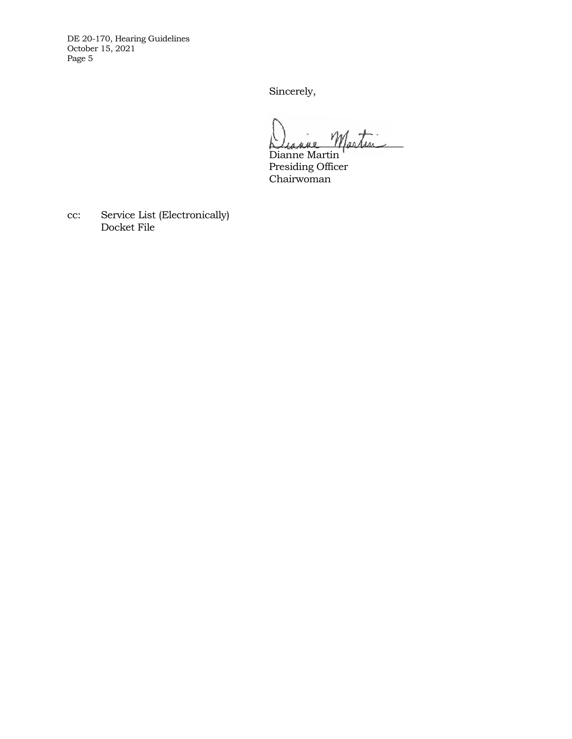DE 20-170, Hearing Guidelines October 15, 2021 Page 5

Sincerely,

Diagne Martin

Dianne Martin Presiding Officer Chairwoman

cc: Service List (Electronically) Docket File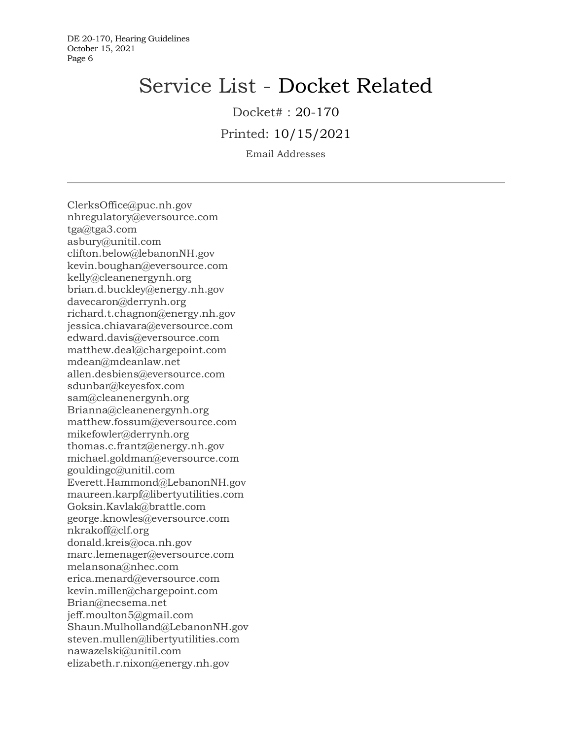# Service List - Docket Related

Docket# : 20-170

Printed: 10/15/2021

Email Addresses

ClerksOffice@puc.nh.gov nhregulatory@eversource.com tga@tga3.com asbury@unitil.com clifton.below@lebanonNH.gov kevin.boughan@eversource.com kelly@cleanenergynh.org brian.d.buckley@energy.nh.gov davecaron@derrynh.org richard.t.chagnon@energy.nh.gov jessica.chiavara@eversource.com edward.davis@eversource.com matthew.deal@chargepoint.com mdean@mdeanlaw.net allen.desbiens@eversource.com sdunbar@keyesfox.com sam@cleanenergynh.org Brianna@cleanenergynh.org matthew.fossum@eversource.com mikefowler@derrynh.org thomas.c.frantz@energy.nh.gov michael.goldman@eversource.com gouldingc@unitil.com Everett.Hammond@LebanonNH.gov maureen.karpf@libertyutilities.com Goksin.Kavlak@brattle.com george.knowles@eversource.com nkrakoff@clf.org donald.kreis@oca.nh.gov marc.lemenager@eversource.com melansona@nhec.com erica.menard@eversource.com kevin.miller@chargepoint.com Brian@necsema.net jeff.moulton5@gmail.com Shaun.Mulholland@LebanonNH.gov steven.mullen@libertyutilities.com nawazelski@unitil.com elizabeth.r.nixon@energy.nh.gov